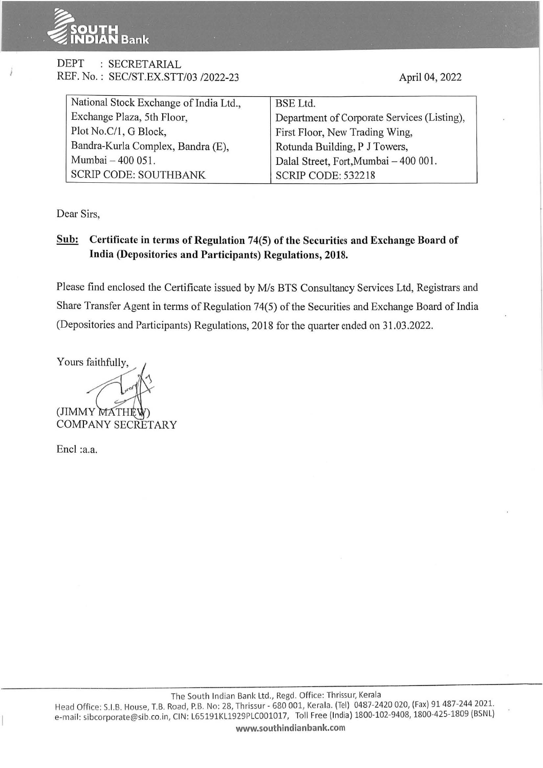

### DEPT : SECRETARIAL REF. No. : SEC/ST.EX.STT/03 /2022-23

April 04, 2022

| National Stock Exchange of India Ltd., | BSE Ltd.                                    |
|----------------------------------------|---------------------------------------------|
| Exchange Plaza, 5th Floor,             | Department of Corporate Services (Listing), |
| Plot No.C/1, G Block,                  | First Floor, New Trading Wing,              |
| Bandra-Kurla Complex, Bandra (E),      | Rotunda Building, P J Towers,               |
| Mumbai - 400 051.                      | Dalal Street, Fort, Mumbai - 400 001.       |
| <b>SCRIP CODE: SOUTHBANK</b>           | <b>SCRIP CODE: 532218</b>                   |

Dear Sirs,

## **Sub: Certificate in terms of Regulation 74(5) of the Securities and Exchange Board of India (Depositories and Participants) Regulations, 2018.**

Please find enclosed the Certificate issued by *Mis* BTS Consultancy Services Ltd, Registrars and Share Transfer Agent in terms of Regulation 74(5) of the Securities and Exchange Board of India (Depositories and Participants) Regulations, 2018 for the quarter ended on 31.03.2022.

Yours faithfully, (JIMMY MATHE COMPANY SECRETARY

Encl :a.a.